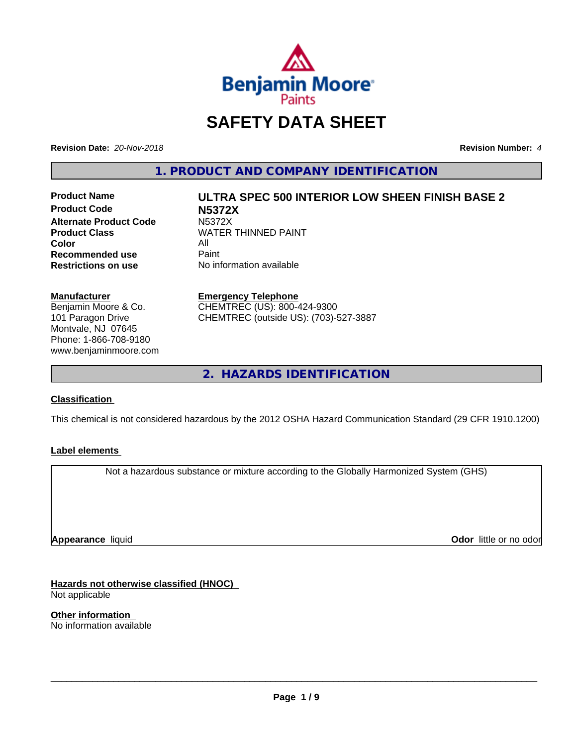

# **SAFETY DATA SHEET**

**Revision Date:** *20-Nov-2018* **Revision Number:** *4*

**1. PRODUCT AND COMPANY IDENTIFICATION**

**Product Code N5372X Alternate Product Code M5372X**<br>Product Class WATER **Color** All<br> **Recommended use** Paint **Recommended use**<br>Restrictions on use

# **Product Name ULTRA SPEC 500 INTERIOR LOW SHEEN FINISH BASE 2 WATER THINNED PAINT**

**No information available** 

### **Manufacturer**

Benjamin Moore & Co. 101 Paragon Drive Montvale, NJ 07645 Phone: 1-866-708-9180 www.benjaminmoore.com

### **Emergency Telephone**

CHEMTREC (US): 800-424-9300 CHEMTREC (outside US): (703)-527-3887

**2. HAZARDS IDENTIFICATION**

### **Classification**

This chemical is not considered hazardous by the 2012 OSHA Hazard Communication Standard (29 CFR 1910.1200)

### **Label elements**

Not a hazardous substance or mixture according to the Globally Harmonized System (GHS)

**Appearance** liquid

**Odor** little or no odor

**Hazards not otherwise classified (HNOC)** Not applicable

**Other information** No information available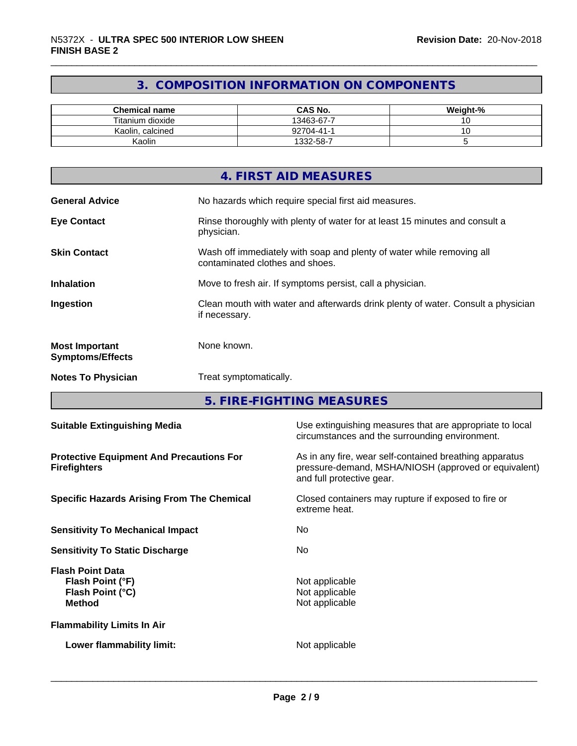### **3. COMPOSITION INFORMATION ON COMPONENTS**

| <b>Chemical name</b>  | <b>CAS No.</b> | Weight-% |
|-----------------------|----------------|----------|
| Titanium dioxide      | 13463-67-7     | ັ        |
| Kaolin.<br>. calcined | 92704-41-1     |          |
| Kaolin                | 1332-58-7      |          |

|                                                  | 4. FIRST AID MEASURES                                                                                    |
|--------------------------------------------------|----------------------------------------------------------------------------------------------------------|
| <b>General Advice</b>                            | No hazards which require special first aid measures.                                                     |
| <b>Eye Contact</b>                               | Rinse thoroughly with plenty of water for at least 15 minutes and consult a<br>physician.                |
| <b>Skin Contact</b>                              | Wash off immediately with soap and plenty of water while removing all<br>contaminated clothes and shoes. |
| <b>Inhalation</b>                                | Move to fresh air. If symptoms persist, call a physician.                                                |
| Ingestion                                        | Clean mouth with water and afterwards drink plenty of water. Consult a physician<br>if necessary.        |
| <b>Most Important</b><br><b>Symptoms/Effects</b> | None known.                                                                                              |
| <b>Notes To Physician</b>                        | Treat symptomatically.                                                                                   |

**5. FIRE-FIGHTING MEASURES**

| <b>Suitable Extinguishing Media</b>                                              | Use extinguishing measures that are appropriate to local<br>circumstances and the surrounding environment.                                   |
|----------------------------------------------------------------------------------|----------------------------------------------------------------------------------------------------------------------------------------------|
| <b>Protective Equipment And Precautions For</b><br><b>Firefighters</b>           | As in any fire, wear self-contained breathing apparatus<br>pressure-demand, MSHA/NIOSH (approved or equivalent)<br>and full protective gear. |
| <b>Specific Hazards Arising From The Chemical</b>                                | Closed containers may rupture if exposed to fire or<br>extreme heat.                                                                         |
| <b>Sensitivity To Mechanical Impact</b>                                          | No.                                                                                                                                          |
| <b>Sensitivity To Static Discharge</b>                                           | No.                                                                                                                                          |
| <b>Flash Point Data</b><br>Flash Point (°F)<br>Flash Point (°C)<br><b>Method</b> | Not applicable<br>Not applicable<br>Not applicable                                                                                           |
| <b>Flammability Limits In Air</b>                                                |                                                                                                                                              |
| Lower flammability limit:                                                        | Not applicable                                                                                                                               |
|                                                                                  |                                                                                                                                              |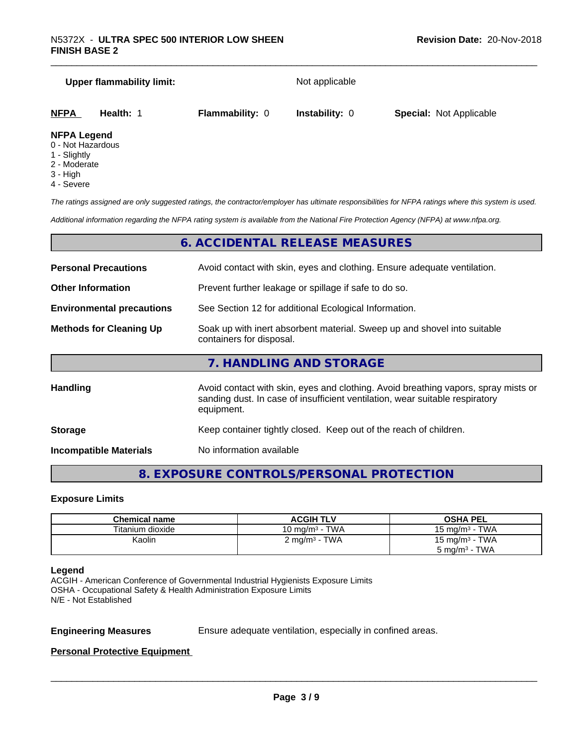# **Upper flammability limit:** Not applicable **NFPA Health:** 1 **Flammability:** 0 **Instability:** 0 **Special:** Not Applicable

### **NFPA Legend**

- 0 Not Hazardous
- 1 Slightly
- 2 Moderate
- 3 High
- 4 Severe

*The ratings assigned are only suggested ratings, the contractor/employer has ultimate responsibilities for NFPA ratings where this system is used.*

*Additional information regarding the NFPA rating system is available from the National Fire Protection Agency (NFPA) at www.nfpa.org.*

### **6. ACCIDENTAL RELEASE MEASURES**

| <b>Personal Precautions</b>      | Avoid contact with skin, eyes and clothing. Ensure adequate ventilation.                                                                                                         |  |  |
|----------------------------------|----------------------------------------------------------------------------------------------------------------------------------------------------------------------------------|--|--|
| <b>Other Information</b>         | Prevent further leakage or spillage if safe to do so.                                                                                                                            |  |  |
| <b>Environmental precautions</b> | See Section 12 for additional Ecological Information.                                                                                                                            |  |  |
| <b>Methods for Cleaning Up</b>   | Soak up with inert absorbent material. Sweep up and shovel into suitable<br>containers for disposal.                                                                             |  |  |
|                                  | 7. HANDLING AND STORAGE                                                                                                                                                          |  |  |
| <b>Handling</b>                  | Avoid contact with skin, eyes and clothing. Avoid breathing vapors, spray mists or<br>sanding dust. In case of insufficient ventilation, wear suitable respiratory<br>equipment. |  |  |
|                                  |                                                                                                                                                                                  |  |  |

**Storage Storage Keep container tightly closed. Keep out of the reach of children.** 

**Incompatible Materials** No information available

### **8. EXPOSURE CONTROLS/PERSONAL PROTECTION**

### **Exposure Limits**

| <b>Chemical name</b> | <b>ACGIH TLV</b>         | <b>OSHA PEL</b>            |
|----------------------|--------------------------|----------------------------|
| Titanium dioxide     | 10 mg/m $3$ - TWA        | 15 mg/m $3$ - TWA          |
| Kaolin               | $2 \text{ mg/m}^3$ - TWA | 15 mg/m <sup>3</sup> - TWA |
|                      |                          | $5 \text{ mg/m}^3$ - TWA   |

### **Legend**

ACGIH - American Conference of Governmental Industrial Hygienists Exposure Limits OSHA - Occupational Safety & Health Administration Exposure Limits N/E - Not Established

**Engineering Measures** Ensure adequate ventilation, especially in confined areas.

 $\overline{\phantom{a}}$  ,  $\overline{\phantom{a}}$  ,  $\overline{\phantom{a}}$  ,  $\overline{\phantom{a}}$  ,  $\overline{\phantom{a}}$  ,  $\overline{\phantom{a}}$  ,  $\overline{\phantom{a}}$  ,  $\overline{\phantom{a}}$  ,  $\overline{\phantom{a}}$  ,  $\overline{\phantom{a}}$  ,  $\overline{\phantom{a}}$  ,  $\overline{\phantom{a}}$  ,  $\overline{\phantom{a}}$  ,  $\overline{\phantom{a}}$  ,  $\overline{\phantom{a}}$  ,  $\overline{\phantom{a}}$ 

### **Personal Protective Equipment**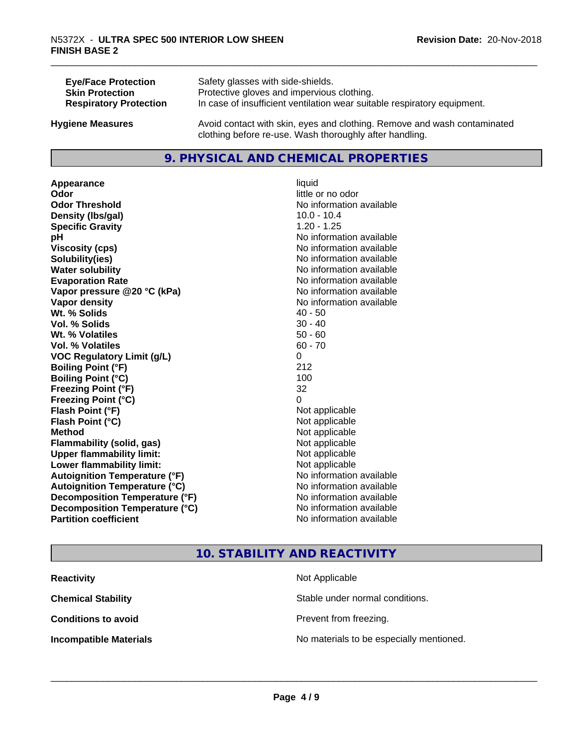| <b>Eye/Face Protection</b>    | Safety glasses with side-shields.                                        |
|-------------------------------|--------------------------------------------------------------------------|
| <b>Skin Protection</b>        | Protective gloves and impervious clothing.                               |
| <b>Respiratory Protection</b> | In case of insufficient ventilation wear suitable respiratory equipment. |
| <b>Hygiene Measures</b>       | Avoid contact with skin, eyes and clothing. Remove and wash contaminated |

### **9. PHYSICAL AND CHEMICAL PROPERTIES**

clothing before re-use. Wash thoroughly after handling.

**Appearance** liquid **Odor** little or no odor **Odor Threshold No information available No information available Density (Ibs/gal)** 10.0 - 10.4 **Specific Gravity** 1.20 - 1.25 **pH** No information available **Viscosity (cps)** No information available **Solubility(ies)** No information available **Water solubility Water solubility Water solubility Water solubility Water solubility Water solution Evaporation Rate No information available No information available Vapor pressure @20 °C (kPa)** No information available **Vapor density** No information available Wt. % Solids **Vol. % Solids** 30 - 40 **Wt. % Volatiles** 50 - 60 **Vol. % Volatiles** 60 - 70 **VOC Regulatory Limit (g/L)** 0 **Boiling Point (°F)** 212 **Boiling Point (°C)** 100 **Freezing Point (°F)** 32 **Freezing Point (°C)** 0 **Flash Point (°F)**<br> **Flash Point (°C)**<br> **Flash Point (°C)**<br> **Point (°C) Flash Point (°C) Method** Not applicable **Flammability (solid, gas)** Not applicable **Upper flammability limit:** Not applicable **Lower flammability limit:** Not applicable **Autoignition Temperature (°F)** No information available **Autoignition Temperature (°C)** No information available **Decomposition Temperature (°F)**<br> **Decomposition Temperature (°C)**<br>
No information available **Decomposition Temperature (°C)**<br>Partition coefficient

# **No information available**

### **10. STABILITY AND REACTIVITY**

| <b>Reactivity</b>             | Not Applicable                           |
|-------------------------------|------------------------------------------|
| <b>Chemical Stability</b>     | Stable under normal conditions.          |
| <b>Conditions to avoid</b>    | Prevent from freezing.                   |
| <b>Incompatible Materials</b> | No materials to be especially mentioned. |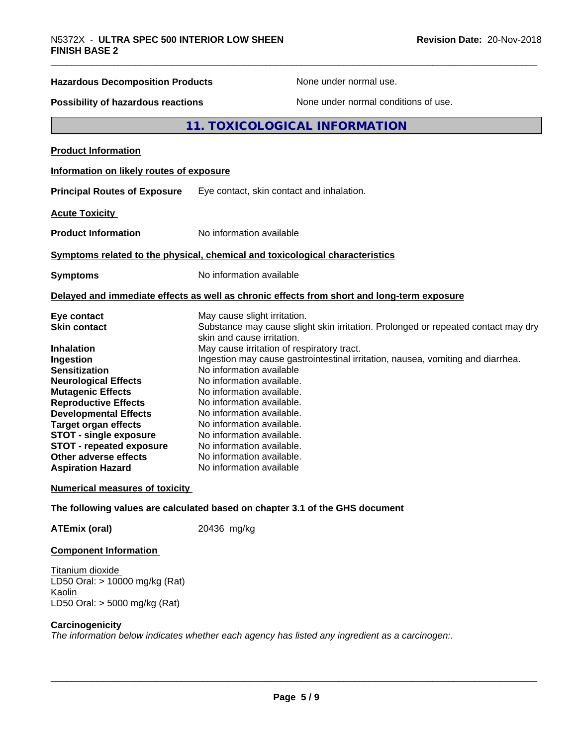# \_\_\_\_\_\_\_\_\_\_\_\_\_\_\_\_\_\_\_\_\_\_\_\_\_\_\_\_\_\_\_\_\_\_\_\_\_\_\_\_\_\_\_\_\_\_\_\_\_\_\_\_\_\_\_\_\_\_\_\_\_\_\_\_\_\_\_\_\_\_\_\_\_\_\_\_\_\_\_\_\_\_\_\_\_\_\_\_\_\_\_\_\_ N5372X - **ULTRA SPEC <sup>500</sup> INTERIOR LOW SHEEN Hazardous Decomposition Products** None under normal use. **Possibility of hazardous reactions** None under normal conditions of use. **11. TOXICOLOGICAL INFORMATION Product Information Information on likely routes of exposure Principal Routes of Exposure** Eye contact, skin contact and inhalation. **Acute Toxicity Product Information** No information available **Symptoms related to the physical,chemical and toxicological characteristics Symptoms** No information available **Delayed and immediate effects as well as chronic effects from short and long-term exposure Eye contact Execution Contact May cause slight irritation.**<br> **Substance may cause slight in the Substance may cause slight** Substance may cause slight skin irritation. Prolonged or repeated contact may dry skin and cause irritation. **Inhalation** May cause irritation of respiratory tract. **Ingestion Ingestion may cause gastrointestinal irritation**, nausea, vomiting and diarrhea. **Sensitization** No information available **Neurological Effects** No information available. **Mutagenic Effects** No information available. **Reproductive Effects** No information available. **Developmental Effects** No information available.

**Target organ effects** No information available. **STOT - single exposure** No information available.<br>**STOT - repeated exposure** No information available. **STOT - repeated exposure** No information available.<br> **Other adverse effects** No information available. **Other adverse effects Aspiration Hazard** No information available

### **Numerical measures of toxicity**

### **The following values are calculated based on chapter 3.1 of the GHS document**

**ATEmix (oral)** 20436 mg/kg

### **Component Information**

Titanium dioxide LD50 Oral: > 10000 mg/kg (Rat) Kaolin LD50 Oral: > 5000 mg/kg (Rat)

### **Carcinogenicity**

*The information below indicates* whether each *agency* has listed any *ingredient* as a *carcinogen:.*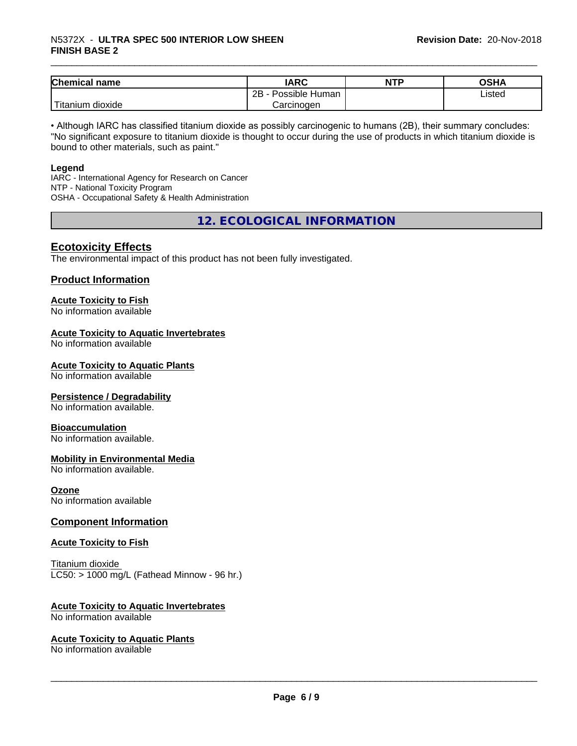| <b>Chemical</b><br>name           | <b>IARC</b>          | <b>NTP</b> | ດເ⊔∧<br>∪אח |
|-----------------------------------|----------------------|------------|-------------|
|                                   | Possible Human<br>2B |            | Listed      |
| $-1$<br>dioxide<br><b>itanium</b> | Carcinogen           |            |             |

• Although IARC has classified titanium dioxide as possibly carcinogenic to humans (2B), their summary concludes: "No significant exposure to titanium dioxide is thought to occur during the use of products in which titanium dioxide is bound to other materials, such as paint."

### **Legend**

IARC - International Agency for Research on Cancer NTP - National Toxicity Program OSHA - Occupational Safety & Health Administration

**12. ECOLOGICAL INFORMATION**

### **Ecotoxicity Effects**

The environmental impact of this product has not been fully investigated.

### **Product Information**

## **Acute Toxicity to Fish**

No information available

### **Acute Toxicity to Aquatic Invertebrates**

No information available

### **Acute Toxicity to Aquatic Plants**

No information available

### **Persistence / Degradability**

No information available.

### **Bioaccumulation**

No information available.

### **Mobility in Environmental Media**

No information available.

### **Ozone**

No information available

### **Component Information**

### **Acute Toxicity to Fish**

Titanium dioxide  $LC50:$  > 1000 mg/L (Fathead Minnow - 96 hr.)

### **Acute Toxicity to Aquatic Invertebrates**

No information available

### **Acute Toxicity to Aquatic Plants**

No information available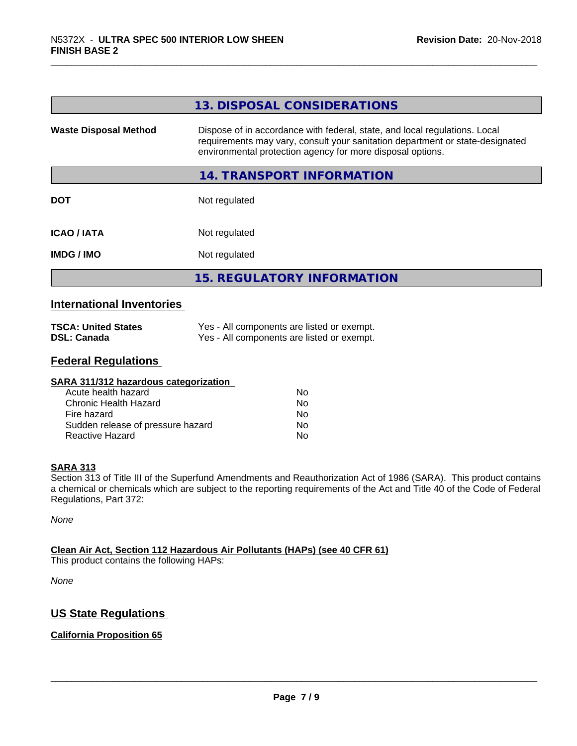|                              | 13. DISPOSAL CONSIDERATIONS                                                                                                                                                                                               |  |
|------------------------------|---------------------------------------------------------------------------------------------------------------------------------------------------------------------------------------------------------------------------|--|
| <b>Waste Disposal Method</b> | Dispose of in accordance with federal, state, and local regulations. Local<br>requirements may vary, consult your sanitation department or state-designated<br>environmental protection agency for more disposal options. |  |
|                              | 14. TRANSPORT INFORMATION                                                                                                                                                                                                 |  |
| <b>DOT</b>                   | Not regulated                                                                                                                                                                                                             |  |
| <b>ICAO/IATA</b>             | Not regulated                                                                                                                                                                                                             |  |
| <b>IMDG/IMO</b>              | Not regulated                                                                                                                                                                                                             |  |
|                              | <b>15. REGULATORY INFORMATION</b>                                                                                                                                                                                         |  |

### **International Inventories**

| <b>TSCA: United States</b> | Yes - All components are listed or exempt. |
|----------------------------|--------------------------------------------|
| <b>DSL: Canada</b>         | Yes - All components are listed or exempt. |

### **Federal Regulations**

| SARA 311/312 hazardous categorization |    |  |
|---------------------------------------|----|--|
| Acute health hazard                   | Nο |  |
| Chronic Health Hazard                 | No |  |
| Fire hazard                           | Nο |  |
| Sudden release of pressure hazard     | Nο |  |
| Reactive Hazard                       | No |  |

### **SARA 313**

Section 313 of Title III of the Superfund Amendments and Reauthorization Act of 1986 (SARA). This product contains a chemical or chemicals which are subject to the reporting requirements of the Act and Title 40 of the Code of Federal Regulations, Part 372:

*None*

### **Clean Air Act,Section 112 Hazardous Air Pollutants (HAPs) (see 40 CFR 61)**

This product contains the following HAPs:

*None*

### **US State Regulations**

### **California Proposition 65**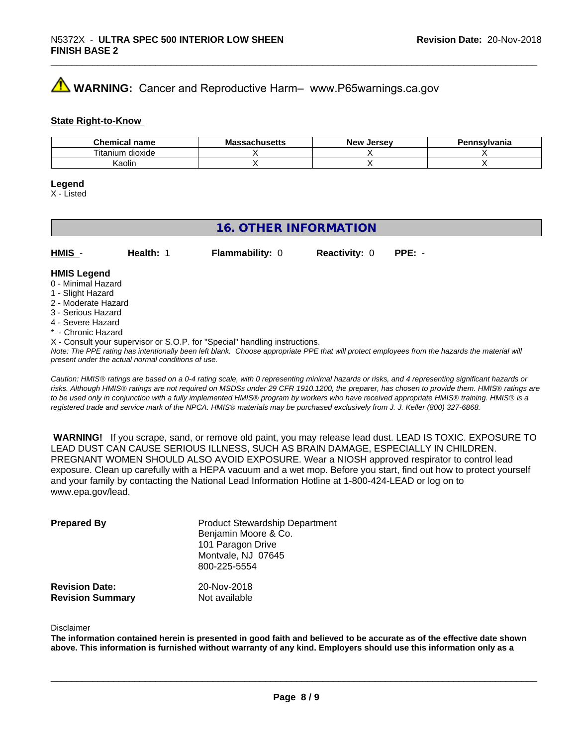### **AVIMARNING:** Cancer and Reproductive Harm– www.P65warnings.ca.gov

### **State Right-to-Know**

| Chemical<br>name      | M۰<br>.eheett<br>No<br>⊶atiluscus | <b>Jersev</b><br><b>Nev</b> | Pennsvlvania |
|-----------------------|-----------------------------------|-----------------------------|--------------|
| ⊦dioxide<br>l itanium |                                   |                             |              |
| Kaolin                |                                   |                             |              |

### **Legend**

X - Listed

### **16. OTHER INFORMATION**

| $HMIS -$           | Health: | <b>Flammability: 0</b> | <b>Reactivity: 0</b> | PPE: - |
|--------------------|---------|------------------------|----------------------|--------|
| <b>HMIS Legend</b> |         |                        |                      |        |

### 0 - Minimal Hazard

- 1 Slight Hazard
- 2 Moderate Hazard
- 3 Serious Hazard
- 4 Severe Hazard
- \* Chronic Hazard
- X Consult your supervisor or S.O.P. for "Special" handling instructions.

*Note: The PPE rating has intentionally been left blank. Choose appropriate PPE that will protect employees from the hazards the material will present under the actual normal conditions of use.*

*Caution: HMISÒ ratings are based on a 0-4 rating scale, with 0 representing minimal hazards or risks, and 4 representing significant hazards or risks. Although HMISÒ ratings are not required on MSDSs under 29 CFR 1910.1200, the preparer, has chosen to provide them. HMISÒ ratings are to be used only in conjunction with a fully implemented HMISÒ program by workers who have received appropriate HMISÒ training. HMISÒ is a registered trade and service mark of the NPCA. HMISÒ materials may be purchased exclusively from J. J. Keller (800) 327-6868.*

 **WARNING!** If you scrape, sand, or remove old paint, you may release lead dust. LEAD IS TOXIC. EXPOSURE TO LEAD DUST CAN CAUSE SERIOUS ILLNESS, SUCH AS BRAIN DAMAGE, ESPECIALLY IN CHILDREN. PREGNANT WOMEN SHOULD ALSO AVOID EXPOSURE.Wear a NIOSH approved respirator to control lead exposure. Clean up carefully with a HEPA vacuum and a wet mop. Before you start, find out how to protect yourself and your family by contacting the National Lead Information Hotline at 1-800-424-LEAD or log on to www.epa.gov/lead.

| <b>Prepared By</b>                               | <b>Product Stewardship Department</b><br>Benjamin Moore & Co.<br>101 Paragon Drive<br>Montvale, NJ 07645<br>800-225-5554 |  |
|--------------------------------------------------|--------------------------------------------------------------------------------------------------------------------------|--|
| <b>Revision Date:</b><br><b>Revision Summary</b> | 20-Nov-2018<br>Not available                                                                                             |  |

### Disclaimer

The information contained herein is presented in good faith and believed to be accurate as of the effective date shown above. This information is furnished without warranty of any kind. Employers should use this information only as a